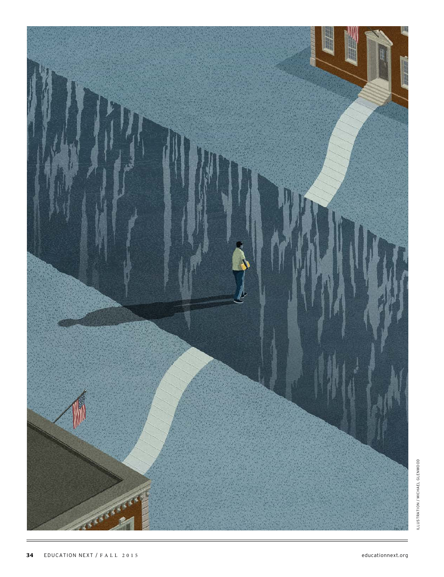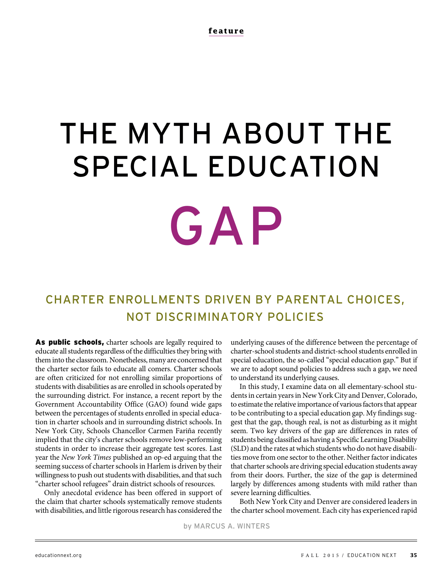# THE MYTH ABOUT THE SPECIAL EDUCATION GAP

# CHARTER ENROLLMENTS DRIVEN BY PARENTAL CHOICES, NOT DISCRIMINATORY POLICIES

As public schools, charter schools are legally required to educate all students regardless of the difficulties they bring with them into the classroom. Nonetheless, many are concerned that the charter sector fails to educate all comers. Charter schools are often criticized for not enrolling similar proportions of students with disabilities as are enrolled in schools operated by the surrounding district. For instance, a recent report by the Government Accountability Office (GAO) found wide gaps between the percentages of students enrolled in special education in charter schools and in surrounding district schools. In New York City, Schools Chancellor Carmen Fariña recently implied that the city's charter schools remove low-performing students in order to increase their aggregate test scores. Last year the New York Times published an op-ed arguing that the seeming success of charter schools in Harlem is driven by their willingness to push out students with disabilities, and that such "charter school refugees" drain district schools of resources.

Only anecdotal evidence has been offered in support of the claim that charter schools systematically remove students with disabilities, and little rigorous research has considered the

underlying causes of the difference between the percentage of charter-school students and district-school students enrolled in special education, the so-called "special education gap." But if we are to adopt sound policies to address such a gap, we need to understand its underlying causes.

In this study, I examine data on all elementary-school students in certain years in New York City and Denver, Colorado, to estimate the relative importance of various factors that appear to be contributing to a special education gap. My findings suggest that the gap, though real, is not as disturbing as it might seem. Two key drivers of the gap are differences in rates of students being classified as having a Specific Learning Disability (SLD) and the rates at which students who do not have disabilities move from one sector to the other. Neither factor indicates that charter schools are driving special education students away from their doors. Further, the size of the gap is determined largely by differences among students with mild rather than severe learning difficulties.

Both New York City and Denver are considered leaders in the charter school movement. Each city has experienced rapid

by MARCUS A. WINTERS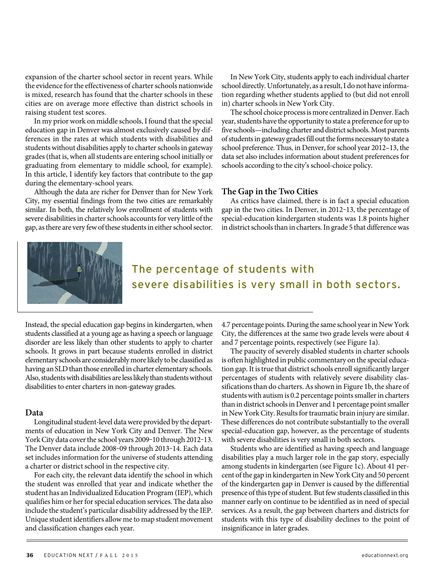expansion of the charter school sector in recent years. While the evidence for the effectiveness of charter schools nationwide is mixed, research has found that the charter schools in these cities are on average more effective than district schools in raising student test scores.

In my prior work on middle schools, I found that the special education gap in Denver was almost exclusively caused by differences in the rates at which students with disabilities and students without disabilities apply to charter schools in gateway grades (that is, when all students are entering school initially or graduating from elementary to middle school, for example). In this article, I identify key factors that contribute to the gap during the elementary-school years.

Although the data are richer for Denver than for New York City, my essential findings from the two cities are remarkably similar. In both, the relatively low enrollment of students with severe disabilities in charter schools accounts for very little of the gap, as there are very few of these students in either school sector.

In New York City, students apply to each individual charter school directly. Unfortunately, as a result, I do not have information regarding whether students applied to (but did not enroll in) charter schools in New York City.

The school choice process is more centralized in Denver. Each year, students have the opportunity to state a preference for up to five schools—including charter and district schools. Most parents of students in gateway grades fill out the forms necessary to state a school preference. Thus, in Denver, for school year 2012–13, the data set also includes information about student preferences for schools according to the city's school-choice policy.

### **The Gap in the Two Cities**

As critics have claimed, there is in fact a special education gap in the two cities. In Denver, in 2012-13, the percentage of special-education kindergarten students was 1.8 points higher in district schools than in charters. In grade 5 that difference was



# The percentage of students with severe disabilities is very small in both sectors.

Instead, the special education gap begins in kindergarten, when students classified at a young age as having a speech or language disorder are less likely than other students to apply to charter schools. It grows in part because students enrolled in district elementary schools are considerably more likely to be classified as having an SLD than those enrolled in charter elementary schools. Also, students with disabilities are less likely than students without disabilities to enter charters in non-gateway grades.

### **Data**

Longitudinal student-level data were provided by the departments of education in New York City and Denver. The New York City data cover the school years 2009-10 through 2012-13. The Denver data include 2008-09 through 2013-14. Each data set includes information for the universe of students attending a charter or district school in the respective city.

For each city, the relevant data identify the school in which the student was enrolled that year and indicate whether the student has an Individualized Education Program (IEP), which qualifies him or her for special education services. The data also include the student's particular disability addressed by the IEP. Unique student identifiers allow me to map student movement and classification changes each year.

4.7 percentage points. During the same school year in New York City, the differences at the same two grade levels were about 4 and 7 percentage points, respectively (see Figure 1a).

The paucity of severely disabled students in charter schools is often highlighted in public commentary on the special education gap. It is true that district schools enroll significantly larger percentages of students with relatively severe disability classifications than do charters. As shown in Figure 1b, the share of students with autism is 0.2 percentage points smaller in charters than in district schools in Denver and 1 percentage point smaller in New York City. Results for traumatic brain injury are similar. These differences do not contribute substantially to the overall special-education gap, however, as the percentage of students with severe disabilities is very small in both sectors.

Students who are identified as having speech and language disabilities play a much larger role in the gap story, especially among students in kindergarten (see Figure 1c). About 41 percent of the gap in kindergarten in New York City and 50 percent of the kindergarten gap in Denver is caused by the differential presence of this type of student. But few students classified in this manner early on continue to be identified as in need of special services. As a result, the gap between charters and districts for students with this type of disability declines to the point of insignificance in later grades.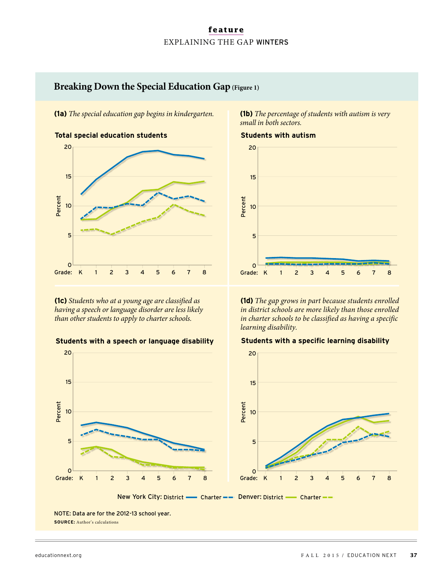# **feature** EXPLAINING THE GAP WINTERS

# **Breaking Down the Special Education Gap (Figure 1)**

**(1a)** The special education gap begins in kindergarten. **(1b)** The percentage of students with autism is very



**(1c)** Students who at a young age are classified as having a speech or language disorder are less likely than other students to apply to charter schools.





NOTE: Data are for the 2012-13 school year. **SOURCE:** Author's calculations

small in both sectors.



**(1d)** The gap grows in part because students enrolled in district schools are more likely than those enrolled in charter schools to be classified as having a specific learning disability.

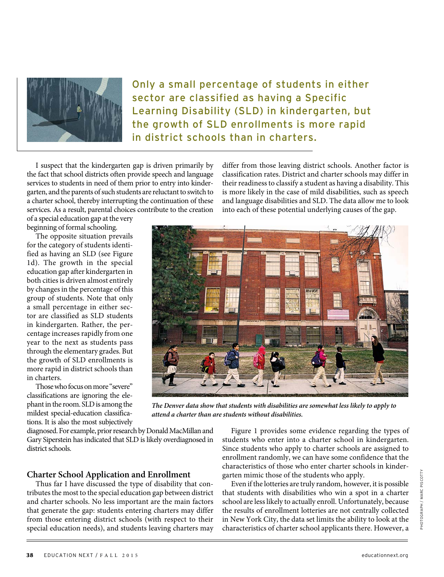

Only a small percentage of students in either sector are classified as having a Specific Learning Disability (SLD) in kindergarten, but the growth of SLD enrollments is more rapid in district schools than in charters.

I suspect that the kindergarten gap is driven primarily by the fact that school districts often provide speech and language services to students in need of them prior to entry into kindergarten, and the parents of such students are reluctant to switch to a charter school, thereby interrupting the continuation of these services. As a result, parental choices contribute to the creation

of a special education gap at the very beginning of formal schooling.

The opposite situation prevails for the category of students identified as having an SLD (see Figure 1d). The growth in the special education gap after kindergarten in both cities is driven almost entirely by changes in the percentage of this group of students. Note that only a small percentage in either sector are classified as SLD students in kindergarten. Rather, the percentage increases rapidly from one year to the next as students pass through the elementary grades. But the growth of SLD enrollments is more rapid in district schools than in charters.

Those who focus on more "severe" classifications are ignoring the elephant in the room. SLD is among the mildest special-education classifications. It is also the most subjectively

diagnosed. For example, prior research by Donald MacMillan and Gary Siperstein has indicated that SLD is likely overdiagnosed in district schools.

# **Charter School Application and Enrollment**

Thus far I have discussed the type of disability that contributes the most to the special education gap between district and charter schools. No less important are the main factors that generate the gap: students entering charters may differ from those entering district schools (with respect to their special education needs), and students leaving charters may differ from those leaving district schools. Another factor is classification rates. District and charter schools may differ in their readiness to classify a student as having a disability. This is more likely in the case of mild disabilities, such as speech and language disabilities and SLD. The data allow me to look into each of these potential underlying causes of the gap.



**The Denver data show that students with disabilities are somewhat less likely to apply to attend a charter than are students without disabilities.** 

Figure 1 provides some evidence regarding the types of students who enter into a charter school in kindergarten. Since students who apply to charter schools are assigned to enrollment randomly, we can have some confidence that the characteristics of those who enter charter schools in kindergarten mimic those of the students who apply.

Even if the lotteries are truly random, however, it is possible that students with disabilities who win a spot in a charter school are less likely to actually enroll. Unfortunately, because the results of enrollment lotteries are not centrally collected in New York City, the data set limits the ability to look at the characteristics of charter school applicants there. However, a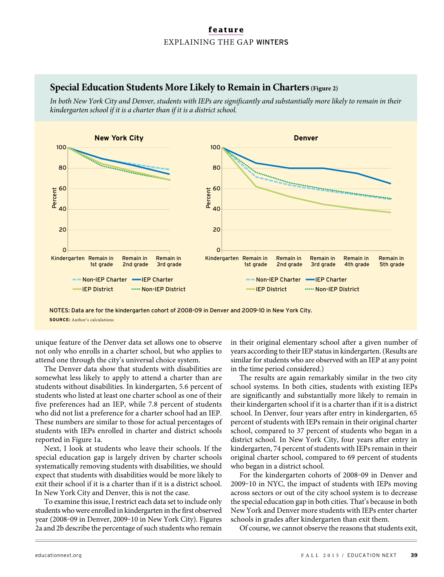# **feature** EXPLAINING THE GAP WINTERS

# **Special Education Students More Likely to Remain in Charters(Figure 2)**

In both New York City and Denver, students with IEPs are significantly and substantially more likely to remain in their kindergarten school if it is a charter than if it is a district school.

![](_page_5_Figure_3.jpeg)

NOTES: Data are for the kindergarten cohort of 2008-09 in Denver and 2009-10 in New York City. **SOURCE:** Author's calculations

unique feature of the Denver data set allows one to observe not only who enrolls in a charter school, but who applies to attend one through the city's universal choice system.

The Denver data show that students with disabilities are somewhat less likely to apply to attend a charter than are students without disabilities. In kindergarten, 5.6 percent of students who listed at least one charter school as one of their five preferences had an IEP, while 7.8 percent of students who did not list a preference for a charter school had an IEP. These numbers are similar to those for actual percentages of students with IEPs enrolled in charter and district schools reported in Figure 1a.

Next, I look at students who leave their schools. If the special education gap is largely driven by charter schools systematically removing students with disabilities, we should expect that students with disabilities would be more likely to exit their school if it is a charter than if it is a district school. In New York City and Denver, this is not the case.

To examine this issue, I restrict each data set to include only students who were enrolled in kindergarten in the first observed year (2008-09 in Denver, 2009-10 in New York City). Figures 2a and 2b describe the percentage of such students who remain

in their original elementary school after a given number of years according to their IEP status in kindergarten. (Results are similar for students who are observed with an IEP at any point in the time period considered.)

The results are again remarkably similar in the two city school systems. In both cities, students with existing IEPs are significantly and substantially more likely to remain in their kindergarten school if it is a charter than if it is a district school. In Denver, four years after entry in kindergarten, 65 percent of students with IEPs remain in their original charter school, compared to 37 percent of students who began in a district school. In New York City, four years after entry in kindergarten, 74 percent of students with IEPs remain in their original charter school, compared to 69 percent of students who began in a district school.

For the kindergarten cohorts of 2008-09 in Denver and 2009‒10 in NYC, the impact of students with IEPs moving across sectors or out of the city school system is to decrease the special education gap in both cities. That's because in both New York and Denver more students with IEPs enter charter schools in grades after kindergarten than exit them.

Of course, we cannot observe the reasons that students exit,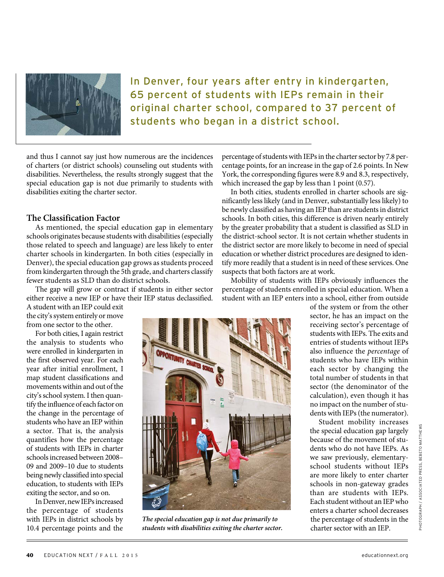![](_page_6_Picture_0.jpeg)

In Denver, four years after entry in kindergarten, 65 percent of students with IEPs remain in their original charter school, compared to 37 percent of students who began in a district school.

and thus I cannot say just how numerous are the incidences of charters (or district schools) counseling out students with disabilities. Nevertheless, the results strongly suggest that the special education gap is not due primarily to students with disabilities exiting the charter sector.

## **The Classification Factor**

As mentioned, the special education gap in elementary schools originates because students with disabilities (especially those related to speech and language) are less likely to enter charter schools in kindergarten. In both cities (especially in Denver), the special education gap grows as students proceed from kindergarten through the 5th grade, and charters classify fewer students as SLD than do district schools.

The gap will grow or contract if students in either sector either receive a new IEP or have their IEP status declassified.

A student with an IEP could exit the city's system entirely or move from one sector to the other.

For both cities, I again restrict the analysis to students who were enrolled in kindergarten in the first observed year. For each year after initial enrollment, I map student classifications and movements within and out of the city's school system. I then quantify the influence of each factor on the change in the percentage of students who have an IEP within a sector. That is, the analysis quantifies how the percentage of students with IEPs in charter schools increased between 2008– 09 and 2009–10 due to students being newly classified into special education, to students with IEPs exiting the sector, and so on.

In Denver, new IEPs increased the percentage of students with IEPs in district schools by 10.4 percentage points and the percentage of students with IEPs in the charter sector by 7.8 percentage points, for an increase in the gap of 2.6 points. In New York, the corresponding figures were 8.9 and 8.3, respectively, which increased the gap by less than 1 point (0.57).

In both cities, students enrolled in charter schools are significantly less likely (and in Denver, substantially less likely) to be newly classified as having an IEP than are students in district schools. In both cities, this difference is driven nearly entirely by the greater probability that a student is classified as SLD in the district-school sector. It is not certain whether students in the district sector are more likely to become in need of special education or whether district procedures are designed to identify more readily that a student is in need of these services. One suspects that both factors are at work.

Mobility of students with IEPs obviously influences the percentage of students enrolled in special education. When a student with an IEP enters into a school, either from outside

![](_page_6_Picture_12.jpeg)

**The special education gap is not due primarily to students with disabilities exiting the charter sector.**

of the system or from the other sector, he has an impact on the receiving sector's percentage of students with IEPs. The exits and entries of students without IEPs also influence the percentage of students who have IEPs within each sector by changing the total number of students in that sector (the denominator of the calculation), even though it has no impact on the number of students with IEPs (the numerator).

Student mobility increases the special education gap largely because of the movement of students who do not have IEPs. As we saw previously, elementaryschool students without IEPs are more likely to enter charter schools in non-gateway grades than are students with IEPs. Each student without an IEP who enters a charter school decreases the percentage of students in the charter sector with an IEP.